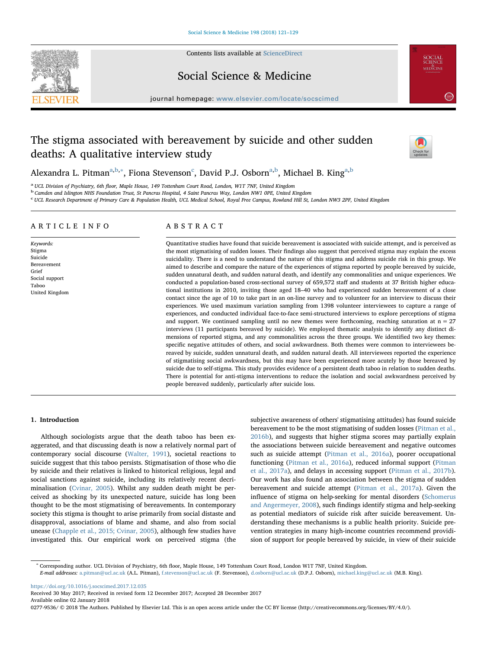

Contents lists available at [ScienceDirect](http://www.sciencedirect.com/science/journal/02779536)

Social Science & Medicine

journal homepage: [www.elsevier.com/locate/socscimed](https://www.elsevier.com/locate/socscimed)

# The stigma associated with bereavement by suicide and other sudden deaths: A qualitative interview study



**SOCIAL**<br>SCIENCE<br>MEDICINE

 $\left( \frac{2.814}{2.814} \right)$ 

Alex[a](#page-0-0)ndra L. Pitman<sup>a[,b,](#page-0-1)</sup>\*, Fiona Stevenson<sup>[c](#page-0-3)</sup>, David P.J. Osborn<sup>[a,](#page-0-0)[b](#page-0-1)</sup>, Michael B. King<sup>a,b</sup>

<span id="page-0-0"></span><sup>a</sup> UCL Division of Psychiatry, 6th floor, Maple House, 149 Tottenham Court Road, London, W1T 7NF, United Kingdom<br><sup>b</sup> Camden and Islington NHS Foundation Trust, St Pancras Hospital, 4 Saint Pancras Way, London NW1 0PE, Uni

<span id="page-0-1"></span>

<span id="page-0-3"></span>c UCL Research Department of Primary Care & Population Health, UCL Medical School, Royal Free Campus, Rowland Hill St, London NW3 2PF, United Kingdom

# ARTICLE INFO

Keywords: Stigma Suicide Bereavement Grief Social support Taboo United Kingdom

# ABSTRACT

Quantitative studies have found that suicide bereavement is associated with suicide attempt, and is perceived as the most stigmatising of sudden losses. Their findings also suggest that perceived stigma may explain the excess suicidality. There is a need to understand the nature of this stigma and address suicide risk in this group. We aimed to describe and compare the nature of the experiences of stigma reported by people bereaved by suicide, sudden unnatural death, and sudden natural death, and identify any commonalities and unique experiences. We conducted a population-based cross-sectional survey of 659,572 staff and students at 37 British higher educational institutions in 2010, inviting those aged 18–40 who had experienced sudden bereavement of a close contact since the age of 10 to take part in an on-line survey and to volunteer for an interview to discuss their experiences. We used maximum variation sampling from 1398 volunteer interviewees to capture a range of experiences, and conducted individual face-to-face semi-structured interviews to explore perceptions of stigma and support. We continued sampling until no new themes were forthcoming, reaching saturation at  $n = 27$ interviews (11 participants bereaved by suicide). We employed thematic analysis to identify any distinct dimensions of reported stigma, and any commonalities across the three groups. We identified two key themes: specific negative attitudes of others, and social awkwardness. Both themes were common to interviewees bereaved by suicide, sudden unnatural death, and sudden natural death. All interviewees reported the experience of stigmatising social awkwardness, but this may have been experienced more acutely by those bereaved by suicide due to self-stigma. This study provides evidence of a persistent death taboo in relation to sudden deaths. There is potential for anti-stigma interventions to reduce the isolation and social awkwardness perceived by people bereaved suddenly, particularly after suicide loss.

# 1. Introduction

Although sociologists argue that the death taboo has been exaggerated, and that discussing death is now a relatively normal part of contemporary social discourse [\(Walter, 1991](#page-8-0)), societal reactions to suicide suggest that this taboo persists. Stigmatisation of those who die by suicide and their relatives is linked to historical religious, legal and social sanctions against suicide, including its relatively recent decriminalisation ([Cvinar, 2005](#page-7-0)). Whilst any sudden death might be perceived as shocking by its unexpected nature, suicide has long been thought to be the most stigmatising of bereavements. In contemporary society this stigma is thought to arise primarily from social distaste and disapproval, associations of blame and shame, and also from social unease [\(Chapple et al., 2015; Cvinar, 2005\)](#page-7-1), although few studies have investigated this. Our empirical work on perceived stigma (the subjective awareness of others' stigmatising attitudes) has found suicide bereavement to be the most stigmatising of sudden losses [\(Pitman et al.,](#page-8-1) [2016b\)](#page-8-1), and suggests that higher stigma scores may partially explain the associations between suicide bereavement and negative outcomes such as suicide attempt [\(Pitman et al., 2016a](#page-8-2)), poorer occupational functioning [\(Pitman et al., 2016a\)](#page-8-2), reduced informal support ([Pitman](#page-8-3) [et al., 2017a\)](#page-8-3), and delays in accessing support ([Pitman et al., 2017b](#page-8-4)). Our work has also found an association between the stigma of sudden bereavement and suicide attempt [\(Pitman et al., 2017a\)](#page-8-3). Given the influence of stigma on help-seeking for mental disorders [\(Schomerus](#page-8-5) [and Angermeyer, 2008](#page-8-5)), such findings identify stigma and help-seeking as potential mediators of suicide risk after suicide bereavement. Understanding these mechanisms is a public health priority. Suicide prevention strategies in many high-income countries recommend providision of support for people bereaved by suicide, in view of their suicide

<span id="page-0-2"></span><sup>∗</sup> Corresponding author. UCL Division of Psychiatry, 6th floor, Maple House, 149 Tottenham Court Road, London W1T 7NF, United Kingdom. E-mail addresses: [a.pitman@ucl.ac.uk](mailto:a.pitman@ucl.ac.uk) (A.L. Pitman), [f.stevenson@ucl.ac.uk](mailto:f.stevenson@ucl.ac.uk) (F. Stevenson), [d.osborn@ucl.ac.uk](mailto:d.osborn@ucl.ac.uk) (D.P.J. Osborn), [michael.king@ucl.ac.uk](mailto:michael.king@ucl.ac.uk) (M.B. King).

<https://doi.org/10.1016/j.socscimed.2017.12.035>

Received 30 May 2017; Received in revised form 12 December 2017; Accepted 28 December 2017

Available online 02 January 2018

0277-9536/ @ 2018 The Authors. Published by Elsevier Ltd. This is an open access article under the CC BY license (http://creativecommons.org/licenses/BY/4.0/).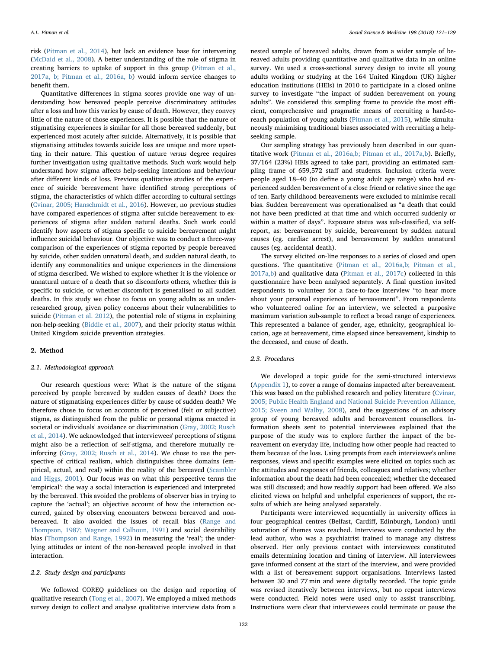risk ([Pitman et al., 2014\)](#page-8-6), but lack an evidence base for intervening ([McDaid et al., 2008\)](#page-7-2). A better understanding of the role of stigma in creating barriers to uptake of support in this group ([Pitman et al.,](#page-8-3) [2017a, b; Pitman et al., 2016a, b\)](#page-8-3) would inform service changes to benefit them.

Quantitative differences in stigma scores provide one way of understanding how bereaved people perceive discriminatory attitudes after a loss and how this varies by cause of death. However, they convey little of the nature of those experiences. It is possible that the nature of stigmatising experiences is similar for all those bereaved suddenly, but experienced most acutely after suicide. Alternatively, it is possible that stigmatising attitudes towards suicide loss are unique and more upsetting in their nature. This question of nature *versus* degree requires further investigation using qualitative methods. Such work would help understand how stigma affects help-seeking intentions and behaviour after different kinds of loss. Previous qualitative studies of the experience of suicide bereavement have identified strong perceptions of stigma, the characteristics of which differ according to cultural settings ([Cvinar, 2005; Hanschmidt et al., 2016](#page-7-0)). However, no previous studies have compared experiences of stigma after suicide bereavement to experiences of stigma after sudden natural deaths. Such work could identify how aspects of stigma specific to suicide bereavement might influence suicidal behaviour. Our objective was to conduct a three-way comparison of the experiences of stigma reported by people bereaved by suicide, other sudden unnatural death, and sudden natural death, to identify any commonalities and unique experiences in the dimensions of stigma described. We wished to explore whether it is the violence or unnatural nature of a death that so discomforts others, whether this is specific to suicide, or whether discomfort is generalised to all sudden deaths. In this study we chose to focus on young adults as an underresearched group, given policy concerns about their vulnerabilities to suicide ([Pitman et al. 2012](#page-7-3)), the potential role of stigma in explaining non-help-seeking ([Biddle et al., 2007\)](#page-7-4), and their priority status within United Kingdom suicide prevention strategies.

# 2. Method

# 2.1. Methodological approach

Our research questions were: What is the nature of the stigma perceived by people bereaved by sudden causes of death? Does the nature of stigmatising experiences differ by cause of sudden death? We therefore chose to focus on accounts of perceived (felt or subjective) stigma, as distinguished from the public or personal stigma enacted in societal or individuals' avoidance or discrimination [\(Gray, 2002; Rusch](#page-7-5) [et al., 2014\)](#page-7-5). We acknowledged that interviewees' perceptions of stigma might also be a reflection of self-stigma, and therefore mutually reinforcing ([Gray, 2002; Rusch et al., 2014](#page-7-5)). We chose to use the perspective of critical realism, which distinguishes three domains (empirical, actual, and real) within the reality of the bereaved [\(Scambler](#page-8-7) [and Higgs, 2001\)](#page-8-7). Our focus was on what this perspective terms the 'empirical': the way a social interaction is experienced and interpreted by the bereaved. This avoided the problems of observer bias in trying to capture the 'actual'; an objective account of how the interaction occurred, gained by observing encounters between bereaved and nonbereaved. It also avoided the issues of recall bias ([Range and](#page-8-8) Thompson, [1987; Wagner and Calhoun, 1991](#page-8-8)) and social desirability bias ([Thompson and Range, 1992\)](#page-8-9) in measuring the 'real'; the underlying attitudes or intent of the non-bereaved people involved in that interaction.

#### 2.2. Study design and participants

We followed COREQ guidelines on the design and reporting of qualitative research [\(Tong et al., 2007\)](#page-8-10). We employed a mixed methods survey design to collect and analyse qualitative interview data from a nested sample of bereaved adults, drawn from a wider sample of bereaved adults providing quantitative and qualitative data in an online survey. We used a cross-sectional survey design to invite all young adults working or studying at the 164 United Kingdom (UK) higher education institutions (HEIs) in 2010 to participate in a closed online survey to investigate "the impact of sudden bereavement on young adults". We considered this sampling frame to provide the most efficient, comprehensive and pragmatic means of recruiting a hard-toreach population of young adults ([Pitman et al., 2015](#page-8-11)), while simultaneously minimising traditional biases associated with recruiting a helpseeking sample.

Our sampling strategy has previously been described in our quantitative work ([Pitman et al., 2016a,b; Pitman et al., 2017a,b\)](#page-8-2). Briefly, 37/164 (23%) HEIs agreed to take part, providing an estimated sampling frame of 659,572 staff and students. Inclusion criteria were: people aged 18–40 (to define a young adult age range) who had experienced sudden bereavement of a close friend or relative since the age of ten. Early childhood bereavements were excluded to minimise recall bias. Sudden bereavement was operationalised as "a death that could not have been predicted at that time and which occurred suddenly or within a matter of days". Exposure status was sub-classified, via selfreport, as: bereavement by suicide, bereavement by sudden natural causes (eg. cardiac arrest), and bereavement by sudden unnatural causes (eg. accidental death).

The survey elicited on-line responses to a series of closed and open questions. The quantitative [\(Pitman et al., 2016a,b; Pitman et al.,](#page-8-2) [2017a,b](#page-8-2)) and qualitative data [\(Pitman et al., 2017c\)](#page-8-12) collected in this questionnaire have been analysed separately. A final question invited respondents to volunteer for a face-to-face interview "to hear more about your personal experiences of bereavement". From respondents who volunteered online for an interview, we selected a purposive maximum variation sub-sample to reflect a broad range of experiences. This represented a balance of gender, age, ethnicity, geographical location, age at bereavement, time elapsed since bereavement, kinship to the deceased, and cause of death.

#### 2.3. Procedures

We developed a topic guide for the semi-structured interviews ([Appendix 1\)](#page-7-6), to cover a range of domains impacted after bereavement. This was based on the published research and policy literature [\(Cvinar,](#page-7-0) [2005; Public Health England and National Suicide Prevention Alliance,](#page-7-0) [2015; Sveen and Walby, 2008\)](#page-7-0), and the suggestions of an advisory group of young bereaved adults and bereavement counsellors. Information sheets sent to potential interviewees explained that the purpose of the study was to explore further the impact of the bereavement on everyday life, including how other people had reacted to them because of the loss. Using prompts from each interviewee's online responses, views and specific examples were elicited on topics such as: the attitudes and responses of friends, colleagues and relatives; whether information about the death had been concealed; whether the deceased was still discussed; and how readily support had been offered. We also elicited views on helpful and unhelpful experiences of support, the results of which are being analysed separately.

Participants were interviewed sequentially in university offices in four geographical centres (Belfast, Cardiff, Edinburgh, London) until saturation of themes was reached. Interviews were conducted by the lead author, who was a psychiatrist trained to manage any distress observed. Her only previous contact with interviewees constituted emails determining location and timing of interview. All interviewees gave informed consent at the start of the interview, and were provided with a list of bereavement support organisations. Interviews lasted between 30 and 77 min and were digitally recorded. The topic guide was revised iteratively between interviews, but no repeat interviews were conducted. Field notes were used only to assist transcribing. Instructions were clear that interviewees could terminate or pause the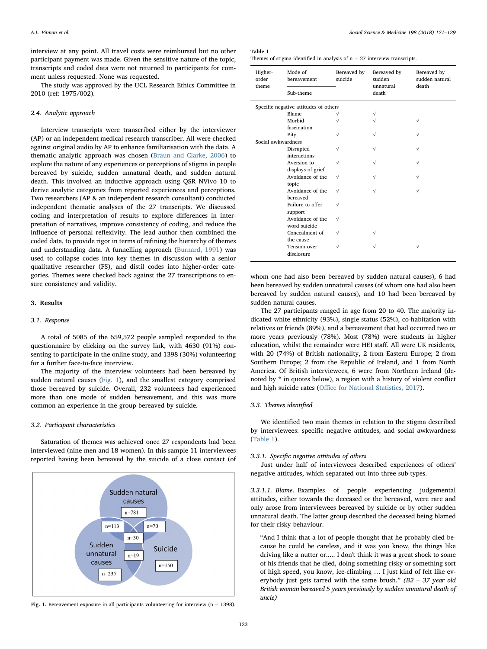interview at any point. All travel costs were reimbursed but no other participant payment was made. Given the sensitive nature of the topic, transcripts and coded data were not returned to participants for comment unless requested. None was requested.

The study was approved by the UCL Research Ethics Committee in 2010 (ref: 1975/002).

# 2.4. Analytic approach

Interview transcripts were transcribed either by the interviewer (AP) or an independent medical research transcriber. All were checked against original audio by AP to enhance familiarisation with the data. A thematic analytic approach was chosen ([Braun and Clarke, 2006](#page-7-7)) to explore the nature of any experiences or perceptions of stigma in people bereaved by suicide, sudden unnatural death, and sudden natural death. This involved an inductive approach using QSR NVivo 10 to derive analytic categories from reported experiences and perceptions. Two researchers (AP & an independent research consultant) conducted independent thematic analyses of the 27 transcripts. We discussed coding and interpretation of results to explore differences in interpretation of narratives, improve consistency of coding, and reduce the influence of personal reflexivity. The lead author then combined the coded data, to provide rigor in terms of refining the hierarchy of themes and understanding data. A funnelling approach ([Burnard, 1991\)](#page-7-8) was used to collapse codes into key themes in discussion with a senior qualitative researcher (FS), and distil codes into higher-order categories. Themes were checked back against the 27 transcriptions to ensure consistency and validity.

# 3. Results

#### 3.1. Response

A total of 5085 of the 659,572 people sampled responded to the questionnaire by clicking on the survey link, with 4630 (91%) consenting to participate in the online study, and 1398 (30%) volunteering for a further face-to-face interview.

The majority of the interview volunteers had been bereaved by sudden natural causes ([Fig. 1\)](#page-2-0), and the smallest category comprised those bereaved by suicide. Overall, 232 volunteers had experienced more than one mode of sudden bereavement, and this was more common an experience in the group bereaved by suicide.

#### 3.2. Participant characteristics

Saturation of themes was achieved once 27 respondents had been interviewed (nine men and 18 women). In this sample 11 interviewees reported having been bereaved by the suicide of a close contact (of

<span id="page-2-0"></span>

Fig. 1. Bereavement exposure in all participants volunteering for interview ( $n = 1398$ ).

#### <span id="page-2-1"></span>Table 1

Themes of stigma identified in analysis of  $n = 27$  interview transcripts.

| Higher-<br>order<br>theme             | Mode of<br>bereavement<br>Sub-theme | Bereaved by<br>suicide | Bereaved by<br>sudden<br>unnatural<br>death | Bereaved by<br>sudden natural<br>death |
|---------------------------------------|-------------------------------------|------------------------|---------------------------------------------|----------------------------------------|
| Specific negative attitudes of others |                                     |                        |                                             |                                        |
|                                       | Blame                               | V                      | $\sqrt{ }$                                  |                                        |
|                                       | Morbid                              | $\sqrt{}$              | $\sqrt{}$                                   | $\sqrt{}$                              |
|                                       | fascination                         |                        |                                             |                                        |
|                                       | Pity                                | $\sqrt{}$              | $\sqrt{}$                                   | $\sqrt{}$                              |
| Social awkwardness                    |                                     |                        |                                             |                                        |
|                                       | Disrupted                           | $\sqrt{}$              | $\sqrt{}$                                   | $\sqrt{}$                              |
|                                       | interactions                        |                        |                                             |                                        |
|                                       | Aversion to                         | $\sqrt{}$              | $\sqrt{}$                                   | $\sqrt{}$                              |
|                                       | displays of grief                   |                        |                                             |                                        |
|                                       | Avoidance of the                    | $\sqrt{ }$             | $\sqrt{ }$                                  | $\sqrt{}$                              |
|                                       | topic                               |                        |                                             |                                        |
|                                       | Avoidance of the                    | $\sqrt{}$              | $\sqrt{}$                                   | $\sqrt{}$                              |
|                                       | bereaved                            |                        |                                             |                                        |
|                                       | Failure to offer                    | $\sqrt{}$              |                                             |                                        |
|                                       | support                             |                        |                                             |                                        |
|                                       | Avoidance of the                    | $\sqrt{}$              |                                             |                                        |
|                                       | word suicide                        |                        |                                             |                                        |
|                                       | Concealment of                      | $\sqrt{}$              | $\sqrt{}$                                   |                                        |
|                                       | the cause                           |                        |                                             |                                        |
|                                       | Tension over                        | $\sqrt{}$              | $\sqrt{}$                                   | $\sqrt{}$                              |
|                                       | disclosure                          |                        |                                             |                                        |

whom one had also been bereaved by sudden natural causes), 6 had been bereaved by sudden unnatural causes (of whom one had also been bereaved by sudden natural causes), and 10 had been bereaved by sudden natural causes.

The 27 participants ranged in age from 20 to 40. The majority indicated white ethnicity (93%), single status (52%), co-habitation with relatives or friends (89%), and a bereavement that had occurred two or more years previously (78%). Most (78%) were students in higher education, whilst the remainder were HEI staff. All were UK residents, with 20 (74%) of British nationality, 2 from Eastern Europe; 2 from Southern Europe; 2 from the Republic of Ireland, and 1 from North America. Of British interviewees, 6 were from Northern Ireland (denoted by \* in quotes below), a region with a history of violent conflict and high suicide rates (Offi[ce for National Statistics, 2017\)](#page-7-9).

# 3.3. Themes identified

We identified two main themes in relation to the stigma described by interviewees: specific negative attitudes, and social awkwardness ([Table 1](#page-2-1)).

# 3.3.1. Specific negative attitudes of others

Just under half of interviewees described experiences of others' negative attitudes, which separated out into three sub-types.

3.3.1.1. Blame. Examples of people experiencing judgemental attitudes, either towards the deceased or the bereaved, were rare and only arose from interviewees bereaved by suicide or by other sudden unnatural death. The latter group described the deceased being blamed for their risky behaviour.

"And I think that a lot of people thought that he probably died because he could be careless, and it was you know, the things like driving like a nutter or..... I don't think it was a great shock to some of his friends that he died, doing something risky or something sort of high speed, you know, ice-climbing … I just kind of felt like everybody just gets tarred with the same brush." (B2 – 37 year old British woman bereaved 5 years previously by sudden unnatural death of uncle)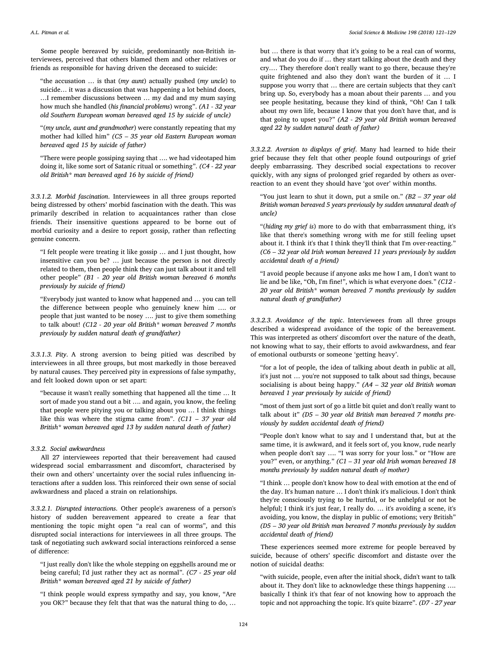Some people bereaved by suicide, predominantly non-British interviewees, perceived that others blamed them and other relatives or friends as responsible for having driven the deceased to suicide:

"the accusation … is that (my aunt) actually pushed (my uncle) to suicide… it was a discussion that was happening a lot behind doors, …I remember discussions between … my dad and my mum saying how much she handled (his financial problems) wrong". (A1 - 32 year old Southern European woman bereaved aged 15 by suicide of uncle)

"(my uncle, aunt and grandmother) were constantly repeating that my mother had killed him" (C5 – 35 year old Eastern European woman bereaved aged 15 by suicide of father)

"There were people gossiping saying that …. we had videotaped him doing it, like some sort of Satanic ritual or something". (C4 - 22 year old British\* man bereaved aged 16 by suicide of friend)

3.3.1.2. Morbid fascination. Interviewees in all three groups reported being distressed by others' morbid fascination with the death. This was primarily described in relation to acquaintances rather than close friends. Their insensitive questions appeared to be borne out of morbid curiosity and a desire to report gossip, rather than reflecting genuine concern.

"I felt people were treating it like gossip … and I just thought, how insensitive can you be? … just because the person is not directly related to them, then people think they can just talk about it and tell other people" (B1 - 20 year old British woman bereaved 6 months previously by suicide of friend)

"Everybody just wanted to know what happened and … you can tell the difference between people who genuinely knew him …. or people that just wanted to be nosey …. just to give them something to talk about! (C12 - 20 year old British\* woman bereaved 7 months previously by sudden natural death of grandfather)

3.3.1.3. Pity. A strong aversion to being pitied was described by interviewees in all three groups, but most markedly in those bereaved by natural causes. They perceived pity in expressions of false sympathy, and felt looked down upon or set apart:

"because it wasn't really something that happened all the time … It sort of made you stand out a bit …. and again, you know, the feeling that people were pitying you or talking about you … I think things like this was where the stigma came from".  $(C11 - 37$  year old British\* woman bereaved aged 13 by sudden natural death of father)

#### 3.3.2. Social awkwardness

All 27 interviewees reported that their bereavement had caused widespread social embarrassment and discomfort, characterised by their own and others' uncertainty over the social rules influencing interactions after a sudden loss. This reinforced their own sense of social awkwardness and placed a strain on relationships.

3.3.2.1. Disrupted interactions. Other people's awareness of a person's history of sudden bereavement appeared to create a fear that mentioning the topic might open "a real can of worms", and this disrupted social interactions for interviewees in all three groups. The task of negotiating such awkward social interactions reinforced a sense of difference:

"I just really don't like the whole stepping on eggshells around me or being careful; I'd just rather they act as normal". (C7 - 25 year old British\* woman bereaved aged 21 by suicide of father)

"I think people would express sympathy and say, you know, "Are you OK?" because they felt that that was the natural thing to do, …

but … there is that worry that it's going to be a real can of worms, and what do you do if … they start talking about the death and they cry.… They therefore don't really want to go there, because they're quite frightened and also they don't want the burden of it … I suppose you worry that … there are certain subjects that they can't bring up. So, everybody has a moan about their parents … and you see people hesitating, because they kind of think, "Oh! Can I talk about my own life, because I know that you don't have that, and is that going to upset you?" (A2 - 29 year old British woman bereaved aged 22 by sudden natural death of father)

3.3.2.2. Aversion to displays of grief. Many had learned to hide their grief because they felt that other people found outpourings of grief deeply embarrassing. They described social expectations to recover quickly, with any signs of prolonged grief regarded by others as overreaction to an event they should have 'got over' within months.

"You just learn to shut it down, put a smile on."  $(B2 - 37$  year old British woman bereaved 5 years previously by sudden unnatural death of uncle)

"(hiding my grief is) more to do with that embarrassment thing, it's like that there's something wrong with me for still feeling upset about it. I think it's that I think they'll think that I'm over-reacting." (C6 – 32 year old Irish woman bereaved 11 years previously by sudden accidental death of a friend)

"I avoid people because if anyone asks me how I am, I don't want to lie and be like, "Oh, I'm fine!", which is what everyone does." (C12 - 20 year old British\* woman bereaved 7 months previously by sudden natural death of grandfather)

3.3.2.3. Avoidance of the topic. Interviewees from all three groups described a widespread avoidance of the topic of the bereavement. This was interpreted as others' discomfort over the nature of the death, not knowing what to say, their efforts to avoid awkwardness, and fear of emotional outbursts or someone 'getting heavy'.

"for a lot of people, the idea of talking about death in public at all, it's just not … you're not supposed to talk about sad things, because socialising is about being happy."  $(A4 - 32$  year old British woman bereaved 1 year previously by suicide of friend)

"most of them just sort of go a little bit quiet and don't really want to talk about it"  $(D5 - 30$  year old British man bereaved 7 months previously by sudden accidental death of friend)

"People don't know what to say and I understand that, but at the same time, it is awkward, and it feels sort of, you know, rude nearly when people don't say …. "I was sorry for your loss." or "How are you?" even, or anything." (C1 – 31 year old Irish woman bereaved 18 months previously by sudden natural death of mother)

"I think … people don't know how to deal with emotion at the end of the day. It's human nature … I don't think it's malicious. I don't think they're consciously trying to be hurtful, or be unhelpful or not be helpful; I think it's just fear, I really do. … it's avoiding a scene, it's avoiding, you know, the display in public of emotions; very British" (D5 – 30 year old British man bereaved 7 months previously by sudden accidental death of friend)

These experiences seemed more extreme for people bereaved by suicide, because of others' specific discomfort and distaste over the notion of suicidal deaths:

"with suicide, people, even after the initial shock, didn't want to talk about it. They don't like to acknowledge these things happening …. basically I think it's that fear of not knowing how to approach the topic and not approaching the topic. It's quite bizarre". (D7 - 27 year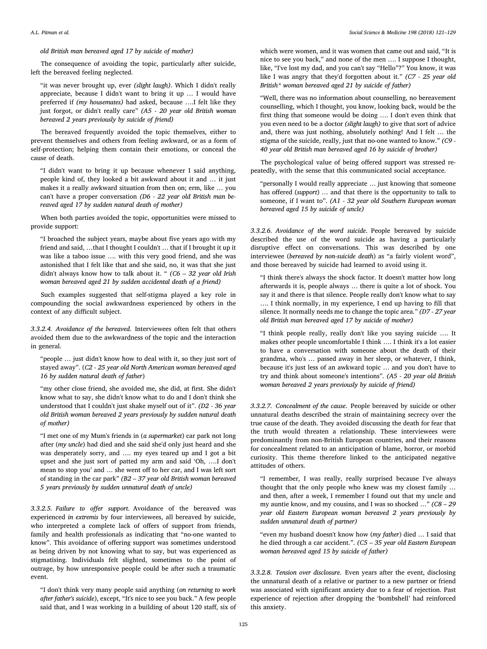old British man bereaved aged 17 by suicide of mother)

The consequence of avoiding the topic, particularly after suicide, left the bereaved feeling neglected.

"it was never brought up, ever (slight laugh). Which I didn't really appreciate, because I didn't want to bring it up … I would have preferred if (my housemates) had asked, because ….I felt like they just forgot, or didn't really care" (A5 - 20 year old British woman bereaved 2 years previously by suicide of friend)

The bereaved frequently avoided the topic themselves, either to prevent themselves and others from feeling awkward, or as a form of self-protection; helping them contain their emotions, or conceal the cause of death.

"I didn't want to bring it up because whenever I said anything, people kind of, they looked a bit awkward about it and … it just makes it a really awkward situation from then on; erm, like … you can't have a proper conversation (D6 - 22 year old British man bereaved aged 17 by sudden natural death of mother)

When both parties avoided the topic, opportunities were missed to provide support:

"I broached the subject years, maybe about five years ago with my friend and said, …that I thought I couldn't … that if I brought it up it was like a taboo issue …. with this very good friend, and she was astonished that I felt like that and she said, no, it was that she just didn't always know how to talk about it. " (C6 – 32 year old Irish woman bereaved aged 21 by sudden accidental death of a friend)

Such examples suggested that self-stigma played a key role in compounding the social awkwardness experienced by others in the context of any difficult subject.

3.3.2.4. Avoidance of the bereaved. Interviewees often felt that others avoided them due to the awkwardness of the topic and the interaction in general.

"people … just didn't know how to deal with it, so they just sort of stayed away". (C2 - 25 year old North American woman bereaved aged 16 by sudden natural death of father)

"my other close friend, she avoided me, she did, at first. She didn't know what to say, she didn't know what to do and I don't think she understood that I couldn't just shake myself out of it". (D2 - 36 year old British woman bereaved 2 years previously by sudden natural death of mother)

"I met one of my Mum's friends in (a supermarket) car park not long after (my uncle) had died and she said she'd only just heard and she was desperately sorry, and …. my eyes teared up and I got a bit upset and she just sort of patted my arm and said 'Oh, ….I don't mean to stop you' and … she went off to her car, and I was left sort of standing in the car park"  $(B2 - 37$  year old British woman bereaved 5 years previously by sudden unnatural death of uncle)

3.3.2.5. Failure to offer support. Avoidance of the bereaved was experienced in extremis by four interviewees, all bereaved by suicide, who interpreted a complete lack of offers of support from friends, family and health professionals as indicating that "no-one wanted to know". This avoidance of offering support was sometimes understood as being driven by not knowing what to say, but was experienced as stigmatising. Individuals felt slighted, sometimes to the point of outrage, by how unresponsive people could be after such a traumatic event.

"I don't think very many people said anything (on returning to work after father's suicide), except, "It's nice to see you back." A few people said that, and I was working in a building of about 120 staff, six of which were women, and it was women that came out and said, "It is nice to see you back," and none of the men …. I suppose I thought, like, "I've lost my dad, and you can't say "Hello"?" You know, it was like I was angry that they'd forgotten about it." (C7 - 25 year old British\* woman bereaved aged 21 by suicide of father)

"Well, there was no information about counselling, no bereavement counselling, which I thought, you know, looking back, would be the first thing that someone would be doing …. I don't even think that you even need to be a doctor (slight laugh) to give that sort of advice and, there was just nothing, absolutely nothing! And I felt … the stigma of the suicide, really, just that no-one wanted to know." (C9 - 40 year old British man bereaved aged 16 by suicide of brother)

The psychological value of being offered support was stressed repeatedly, with the sense that this communicated social acceptance.

"personally I would really appreciate … just knowing that someone has offered (support) … and that there is the opportunity to talk to someone, if I want to". (A1 - 32 year old Southern European woman bereaved aged 15 by suicide of uncle)

3.3.2.6. Avoidance of the word suicide. People bereaved by suicide described the use of the word suicide as having a particularly disruptive effect on conversations. This was described by one interviewee (bereaved by non-suicide death) as "a fairly violent word", and those bereaved by suicide had learned to avoid using it.

"I think there's always the shock factor. It doesn't matter how long afterwards it is, people always … there is quite a lot of shock. You say it and there is that silence. People really don't know what to say …. I think normally, in my experience, I end up having to fill that silence. It normally needs me to change the topic area." (D7 - 27 year old British man bereaved aged 17 by suicide of mother)

"I think people really, really don't like you saying suicide …. It makes other people uncomfortable I think …. I think it's a lot easier to have a conversation with someone about the death of their grandma, who's … passed away in her sleep, or whatever, I think, because it's just less of an awkward topic … and you don't have to try and think about someone's intentions". (A5 - 20 year old British woman bereaved 2 years previously by suicide of friend)

3.3.2.7. Concealment of the cause. People bereaved by suicide or other unnatural deaths described the strain of maintaining secrecy over the true cause of the death. They avoided discussing the death for fear that the truth would threaten a relationship. These interviewees were predominantly from non-British European countries, and their reasons for concealment related to an anticipation of blame, horror, or morbid curiosity. This theme therefore linked to the anticipated negative attitudes of others.

"I remember, I was really, really surprised because I've always thought that the only people who knew was my closest family … and then, after a week, I remember I found out that my uncle and my auntie know, and my cousins, and I was so shocked …" (C8 – 29 year old Eastern European woman bereaved 2 years previously by sudden unnatural death of partner)

"even my husband doesn't know how (my father) died … I said that he died through a car accident.". (C5 – 35 year old Eastern European woman bereaved aged 15 by suicide of father)

3.3.2.8. Tension over disclosure. Even years after the event, disclosing the unnatural death of a relative or partner to a new partner or friend was associated with significant anxiety due to a fear of rejection. Past experience of rejection after dropping the 'bombshell' had reinforced this anxiety.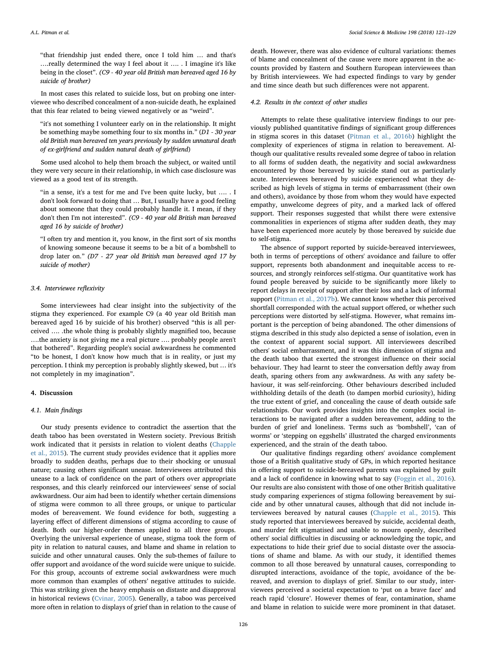"that friendship just ended there, once I told him … and that's ….really determined the way I feel about it …. . I imagine it's like being in the closet". (C9 - 40 year old British man bereaved aged 16 by suicide of brother)

In most cases this related to suicide loss, but on probing one interviewee who described concealment of a non-suicide death, he explained that this fear related to being viewed negatively or as "weird".

"it's not something I volunteer early on in the relationship. It might be something maybe something four to six months in." (D1 - 30 year old British man bereaved ten years previously by sudden unnatural death of ex-girlfriend and sudden natural death of girlfriend)

Some used alcohol to help them broach the subject, or waited until they were very secure in their relationship, in which case disclosure was viewed as a good test of its strength.

"in a sense, it's a test for me and I've been quite lucky, but .... . I don't look forward to doing that … But, I usually have a good feeling about someone that they could probably handle it. I mean, if they don't then I'm not interested". (C9 - 40 year old British man bereaved aged 16 by suicide of brother)

"I often try and mention it, you know, in the first sort of six months of knowing someone because it seems to be a bit of a bombshell to drop later on." (D7 - 27 year old British man bereaved aged 17 by suicide of mother)

# 3.4. Interviewee reflexivity

Some interviewees had clear insight into the subjectivity of the stigma they experienced. For example C9 (a 40 year old British man bereaved aged 16 by suicide of his brother) observed "this is all perceived …. .the whole thing is probably slightly magnified too, because ….the anxiety is not giving me a real picture …. probably people aren't that bothered". Regarding people's social awkwardness he commented "to be honest, I don't know how much that is in reality, or just my perception. I think my perception is probably slightly skewed, but … it's not completely in my imagination".

#### 4. Discussion

#### 4.1. Main findings

Our study presents evidence to contradict the assertion that the death taboo has been overstated in Western society. Previous British work indicated that it persists in relation to violent deaths ([Chapple](#page-7-1) [et al., 2015](#page-7-1)). The current study provides evidence that it applies more broadly to sudden deaths, perhaps due to their shocking or unusual nature; causing others significant unease. Interviewees attributed this unease to a lack of confidence on the part of others over appropriate responses, and this clearly reinforced our interviewees' sense of social awkwardness. Our aim had been to identify whether certain dimensions of stigma were common to all three groups, or unique to particular modes of bereavement. We found evidence for both, suggesting a layering effect of different dimensions of stigma according to cause of death. Both our higher-order themes applied to all three groups. Overlying the universal experience of unease, stigma took the form of pity in relation to natural causes, and blame and shame in relation to suicide and other unnatural causes. Only the sub-themes of failure to offer support and avoidance of the word suicide were unique to suicide. For this group, accounts of extreme social awkwardness were much more common than examples of others' negative attitudes to suicide. This was striking given the heavy emphasis on distaste and disapproval in historical reviews ([Cvinar, 2005\)](#page-7-0). Generally, a taboo was perceived more often in relation to displays of grief than in relation to the cause of

death. However, there was also evidence of cultural variations: themes of blame and concealment of the cause were more apparent in the accounts provided by Eastern and Southern European interviewees than by British interviewees. We had expected findings to vary by gender and time since death but such differences were not apparent.

#### 4.2. Results in the context of other studies

Attempts to relate these qualitative interview findings to our previously published quantitative findings of significant group differences in stigma scores in this dataset [\(Pitman et al., 2016b](#page-8-1)) highlight the complexity of experiences of stigma in relation to bereavement. Although our qualitative results revealed some degree of taboo in relation to all forms of sudden death, the negativity and social awkwardness encountered by those bereaved by suicide stand out as particularly acute. Interviewees bereaved by suicide experienced what they described as high levels of stigma in terms of embarrassment (their own and others), avoidance by those from whom they would have expected empathy, unwelcome degrees of pity, and a marked lack of offered support. Their responses suggested that whilst there were extensive commonalities in experiences of stigma after sudden death, they may have been experienced more acutely by those bereaved by suicide due to self-stigma.

The absence of support reported by suicide-bereaved interviewees, both in terms of perceptions of others' avoidance and failure to offer support, represents both abandonment and inequitable access to resources, and strongly reinforces self-stigma. Our quantitative work has found people bereaved by suicide to be significantly more likely to report delays in receipt of support after their loss and a lack of informal support [\(Pitman et al., 2017b\)](#page-8-4). We cannot know whether this perceived shortfall corresponded with the actual support offered, or whether such perceptions were distorted by self-stigma. However, what remains important is the perception of being abandoned. The other dimensions of stigma described in this study also depicted a sense of isolation, even in the context of apparent social support. All interviewees described others' social embarrassment, and it was this dimension of stigma and the death taboo that exerted the strongest influence on their social behaviour. They had learnt to steer the conversation deftly away from death, sparing others from any awkwardness. As with any safety behaviour, it was self-reinforcing. Other behaviours described included withholding details of the death (to dampen morbid curiosity), hiding the true extent of grief, and concealing the cause of death outside safe relationships. Our work provides insights into the complex social interactions to be navigated after a sudden bereavement, adding to the burden of grief and loneliness. Terms such as 'bombshell', 'can of worms' or 'stepping on eggshells' illustrated the charged environments experienced, and the strain of the death taboo.

Our qualitative findings regarding others' avoidance complement those of a British qualitative study of GPs, in which reported hesitance in offering support to suicide-bereaved parents was explained by guilt and a lack of confidence in knowing what to say [\(Foggin et al., 2016](#page-7-10)). Our results are also consistent with those of one other British qualitative study comparing experiences of stigma following bereavement by suicide and by other unnatural causes, although that did not include interviewees bereaved by natural causes ([Chapple et al., 2015](#page-7-1)). This study reported that interviewees bereaved by suicide, accidental death, and murder felt stigmatised and unable to mourn openly, described others' social difficulties in discussing or acknowledging the topic, and expectations to hide their grief due to social distaste over the associations of shame and blame. As with our study, it identified themes common to all those bereaved by unnatural causes, corresponding to disrupted interactions, avoidance of the topic, avoidance of the bereaved, and aversion to displays of grief. Similar to our study, interviewees perceived a societal expectation to 'put on a brave face' and reach rapid 'closure'. However themes of fear, contamination, shame and blame in relation to suicide were more prominent in that dataset.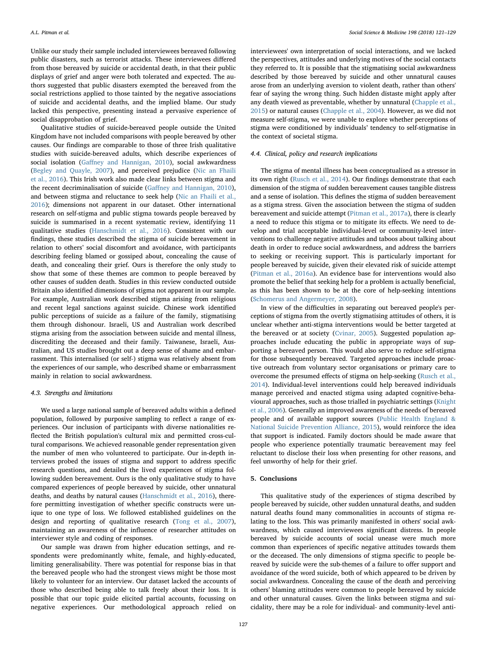Unlike our study their sample included interviewees bereaved following public disasters, such as terrorist attacks. These interviewees differed from those bereaved by suicide or accidental death, in that their public displays of grief and anger were both tolerated and expected. The authors suggested that public disasters exempted the bereaved from the social restrictions applied to those tainted by the negative associations of suicide and accidental deaths, and the implied blame. Our study lacked this perspective, presenting instead a pervasive experience of social disapprobation of grief.

Qualitative studies of suicide-bereaved people outside the United Kingdom have not included comparisons with people bereaved by other causes. Our findings are comparable to those of three Irish qualitative studies with suicide-bereaved adults, which describe experiences of social isolation (Gaff[ney and Hannigan, 2010](#page-7-11)), social awkwardness ([Begley and Quayle, 2007\)](#page-7-12), and perceived prejudice ([Nic an Fhaili](#page-7-13) [et al., 2016\)](#page-7-13). This Irish work also made clear links between stigma and the recent decriminalisation of suicide (Gaff[ney and Hannigan, 2010](#page-7-11)), and between stigma and reluctance to seek help [\(Nic an Fhaili et al.,](#page-7-13) [2016\)](#page-7-13); dimensions not apparent in our dataset. Other international research on self-stigma and public stigma towards people bereaved by suicide is summarised in a recent systematic review, identifying 11 qualitative studies [\(Hanschmidt et al., 2016\)](#page-7-14). Consistent with our findings, these studies described the stigma of suicide bereavement in relation to others' social discomfort and avoidance, with participants describing feeling blamed or gossiped about, concealing the cause of death, and concealing their grief. Ours is therefore the only study to show that some of these themes are common to people bereaved by other causes of sudden death. Studies in this review conducted outside Britain also identified dimensions of stigma not apparent in our sample. For example, Australian work described stigma arising from religious and recent legal sanctions against suicide. Chinese work identified public perceptions of suicide as a failure of the family, stigmatising them through dishonour. Israeli, US and Australian work described stigma arising from the association between suicide and mental illness, discrediting the deceased and their family. Taiwanese, Israeli, Australian, and US studies brought out a deep sense of shame and embarrassment. This internalised (or self-) stigma was relatively absent from the experiences of our sample, who described shame or embarrassment mainly in relation to social awkwardness.

#### 4.3. Strengths and limitations

We used a large national sample of bereaved adults within a defined population, followed by purposive sampling to reflect a range of experiences. Our inclusion of participants with diverse nationalities reflected the British population's cultural mix and permitted cross-cultural comparisons. We achieved reasonable gender representation given the number of men who volunteered to participate. Our in-depth interviews probed the issues of stigma and support to address specific research questions, and detailed the lived experiences of stigma following sudden bereavement. Ours is the only qualitative study to have compared experiences of people bereaved by suicide, other unnatural deaths, and deaths by natural causes [\(Hanschmidt et al., 2016\)](#page-7-14), therefore permitting investigation of whether specific constructs were unique to one type of loss. We followed established guidelines on the design and reporting of qualitative research ([Tong et al., 2007](#page-8-10)), maintaining an awareness of the influence of researcher attitudes on interviewer style and coding of responses.

Our sample was drawn from higher education settings, and respondents were predominantly white, female, and highly-educated, limiting generalisability. There was potential for response bias in that the bereaved people who had the strongest views might be those most likely to volunteer for an interview. Our dataset lacked the accounts of those who described being able to talk freely about their loss. It is possible that our topic guide elicited partial accounts, focussing on negative experiences. Our methodological approach relied on interviewees' own interpretation of social interactions, and we lacked the perspectives, attitudes and underlying motives of the social contacts they referred to. It is possible that the stigmatising social awkwardness described by those bereaved by suicide and other unnatural causes arose from an underlying aversion to violent death, rather than others' fear of saying the wrong thing. Such hidden distaste might apply after any death viewed as preventable, whether by unnatural [\(Chapple et al.,](#page-7-1) [2015\)](#page-7-1) or natural causes [\(Chapple et al., 2004\)](#page-7-15). However, as we did not measure self-stigma, we were unable to explore whether perceptions of stigma were conditioned by individuals' tendency to self-stigmatise in the context of societal stigma.

#### 4.4. Clinical, policy and research implications

The stigma of mental illness has been conceptualised as a stressor in its own right [\(Rusch et al., 2014\)](#page-8-13). Our findings demonstrate that each dimension of the stigma of sudden bereavement causes tangible distress and a sense of isolation. This defines the stigma of sudden bereavement as a stigma stress. Given the association between the stigma of sudden bereavement and suicide attempt [\(Pitman et al., 2017a\)](#page-8-3), there is clearly a need to reduce this stigma or to mitigate its effects. We need to develop and trial acceptable individual-level or community-level interventions to challenge negative attitudes and taboos about talking about death in order to reduce social awkwardness, and address the barriers to seeking or receiving support. This is particularly important for people bereaved by suicide, given their elevated risk of suicide attempt ([Pitman et al., 2016a\)](#page-8-2). An evidence base for interventions would also promote the belief that seeking help for a problem is actually beneficial, as this has been shown to be at the core of help-seeking intentions ([Schomerus and Angermeyer, 2008](#page-8-5)).

In view of the difficulties in separating out bereaved people's perceptions of stigma from the overtly stigmatising attitudes of others, it is unclear whether anti-stigma interventions would be better targeted at the bereaved or at society ([Cvinar, 2005\)](#page-7-0). Suggested population approaches include educating the public in appropriate ways of supporting a bereaved person. This would also serve to reduce self-stigma for those subsequently bereaved. Targeted approaches include proactive outreach from voluntary sector organisations or primary care to overcome the presumed effects of stigma on help-seeking [\(Rusch et al.,](#page-8-13) [2014\)](#page-8-13). Individual-level interventions could help bereaved individuals manage perceived and enacted stigma using adapted cognitive-behavioural approaches, such as those trialled in psychiatric settings [\(Knight](#page-7-16) [et al., 2006\)](#page-7-16). Generally an improved awareness of the needs of bereaved people and of available support sources [\(Public Health England &](#page-8-14) [National Suicide Prevention Alliance, 2015](#page-8-14)), would reinforce the idea that support is indicated. Family doctors should be made aware that people who experience potentially traumatic bereavement may feel reluctant to disclose their loss when presenting for other reasons, and feel unworthy of help for their grief.

#### 5. Conclusions

This qualitative study of the experiences of stigma described by people bereaved by suicide, other sudden unnatural deaths, and sudden natural deaths found many commonalities in accounts of stigma relating to the loss. This was primarily manifested in others' social awkwardness, which caused interviewees significant distress. In people bereaved by suicide accounts of social unease were much more common than experiences of specific negative attitudes towards them or the deceased. The only dimensions of stigma specific to people bereaved by suicide were the sub-themes of a failure to offer support and avoidance of the word suicide, both of which appeared to be driven by social awkwardness. Concealing the cause of the death and perceiving others' blaming attitudes were common to people bereaved by suicide and other unnatural causes. Given the links between stigma and suicidality, there may be a role for individual- and community-level anti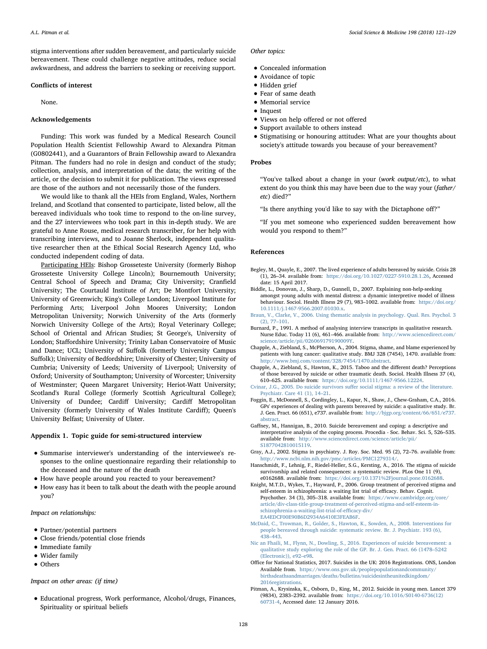A.L. Pitman et al. *Social Science & Medicine 198 (2018) 121–129*

stigma interventions after sudden bereavement, and particularly suicide bereavement. These could challenge negative attitudes, reduce social awkwardness, and address the barriers to seeking or receiving support.

# Conflicts of interest

None.

# Acknowledgements

Funding: This work was funded by a Medical Research Council Population Health Scientist Fellowship Award to Alexandra Pitman (G0802441), and a Guarantors of Brain Fellowship award to Alexandra Pitman. The funders had no role in design and conduct of the study; collection, analysis, and interpretation of the data; the writing of the article, or the decision to submit it for publication. The views expressed are those of the authors and not necessarily those of the funders.

We would like to thank all the HEIs from England, Wales, Northern Ireland, and Scotland that consented to participate, listed below, all the bereaved individuals who took time to respond to the on-line survey, and the 27 interviewees who took part in this in-depth study. We are grateful to Anne Rouse, medical research transcriber, for her help with transcribing interviews, and to Joanne Sherlock, independent qualitative researcher then at the Ethical Social Research Agency Ltd, who conducted independent coding of data.

Participating HEIs: Bishop Grosseteste University (formerly Bishop Grosseteste University College Lincoln); Bournemouth University; Central School of Speech and Drama; City University; Cranfield University; The Courtauld Institute of Art; De Montfort University; University of Greenwich; King's College London; Liverpool Institute for Performing Arts; Liverpool John Moores University; London Metropolitan University; Norwich University of the Arts (formerly Norwich University College of the Arts); Royal Veterinary College; School of Oriental and African Studies; St George's, University of London; Staffordshire University; Trinity Laban Conservatoire of Music and Dance; UCL; University of Suffolk (formerly University Campus Suffolk); University of Bedfordshire; University of Chester; University of Cumbria; University of Leeds; University of Liverpool; University of Oxford; University of Southampton; University of Worcester; University of Westminster; Queen Margaret University; Heriot-Watt University; Scotland's Rural College (formerly Scottish Agricultural College); University of Dundee; Cardiff University; Cardiff Metropolitan University (formerly University of Wales Institute Cardiff); Queen's University Belfast; University of Ulster.

## <span id="page-7-6"></span>Appendix 1. Topic guide for semi-structured interview

- Summarise interviewer's understanding of the interviewee's responses to the online questionnaire regarding their relationship to the deceased and the nature of the death
- How have people around you reacted to your bereavement?
- How easy has it been to talk about the death with the people around you?

#### Impact on relationships:

- Partner/potential partners
- Close friends/potential close friends
- Immediate family
- Wider family
- Others

#### Impact on other areas: (if time)

• Educational progress, Work performance, Alcohol/drugs, Finances, Spirituality or spiritual beliefs

#### Other topics:

- Concealed information
- Avoidance of topic
- Hidden grief
- Fear of same death
- Memorial service
- Inquest
- Views on help offered or not offered
- Support available to others instead
- Stigmatising or honouring attitudes: What are your thoughts about society's attitude towards you because of your bereavement?

# Probes

"You've talked about a change in your (work output/etc), to what extent do you think this may have been due to the way your (father/ etc) died?"

"Is there anything you'd like to say with the Dictaphone off?"

"If you met someone who experienced sudden bereavement how would you respond to them?"

#### References

- <span id="page-7-12"></span>Begley, M., Quayle, E., 2007. The lived experience of adults bereaved by suicide. Crisis 28 (1), 26–34. available from: <https://doi.org/10.1027/0227-5910.28.1.26>, Accessed date: 15 April 2017.
- <span id="page-7-4"></span>Biddle, L., Donovan, J., Sharp, D., Gunnell, D., 2007. Explaining non-help-seeking amongst young adults with mental distress: a dynamic interpretive model of illness behaviour. Sociol. Health Illness 29 (7), 983–1002. available from: [https://doi.org/](https://doi.org/10.1111/j.1467-9566.2007.01030.x) [10.1111/j.1467-9566.2007.01030.x](https://doi.org/10.1111/j.1467-9566.2007.01030.x).
- <span id="page-7-7"></span>[Braun, V., Clarke, V., 2006. Using thematic analysis in psychology. Qual. Res. Psychol. 3](http://refhub.elsevier.com/S0277-9536(17)30779-7/sref4) [\(2\), 77](http://refhub.elsevier.com/S0277-9536(17)30779-7/sref4)–101.
- <span id="page-7-8"></span>Burnard, P., 1991. A method of analysing interview transcripts in qualitative research. Nurse Educ. Today 11 (6), 461–466. available from: [http://www.sciencedirect.com/](http://www.sciencedirect.com/science/article/pii/026069179190009Y) [science/article/pii/026069179190009Y](http://www.sciencedirect.com/science/article/pii/026069179190009Y).
- <span id="page-7-15"></span>Chapple, A., Ziebland, S., McPherson, A., 2004. Stigma, shame, and blame experienced by patients with lung cancer: qualitative study. BMJ 328 (7454), 1470. available from: [http://www.bmj.com/content/328/7454/1470.abstract.](http://www.bmj.com/content/328/7454/1470.abstract)
- <span id="page-7-1"></span>Chapple, A., Ziebland, S., Hawton, K., 2015. Taboo and the different death? Perceptions of those bereaved by suicide or other traumatic death. Sociol. Health Illness 37 (4), 610–625. available from: [https://doi.org/10.1111/1467-9566.12224.](https://doi.org/10.1111/1467-9566.12224)
- <span id="page-7-0"></span>Cvinar, J.G., 2005. Do suicide survivors suff[er social stigma: a review of the literature.](http://refhub.elsevier.com/S0277-9536(17)30779-7/sref8) [Psychiatr. Care 41 \(1\), 14](http://refhub.elsevier.com/S0277-9536(17)30779-7/sref8)–21.
- <span id="page-7-10"></span>Foggin, E., McDonnell, S., Cordingley, L., Kapur, N., Shaw, J., Chew-Graham, C.A., 2016. GPs' experiences of dealing with parents bereaved by suicide: a qualitative study. Br. J. Gen. Pract. 66 (651), e737. available from: [http://bjgp.org/content/66/651/e737.](http://bjgp.org/content/66/651/e737.abstract) [abstract.](http://bjgp.org/content/66/651/e737.abstract)
- <span id="page-7-11"></span>Gaffney, M., Hannigan, B., 2010. Suicide bereavement and coping: a descriptive and interpretative analysis of the coping process. Procedia - Soc. Behav. Sci. 5, 526–535. available from: [http://www.sciencedirect.com/science/article/pii/](http://www.sciencedirect.com/science/article/pii/S1877042810015119) [S1877042810015119](http://www.sciencedirect.com/science/article/pii/S1877042810015119).
- <span id="page-7-5"></span>Gray, A.J., 2002. Stigma in psychiatry. J. Roy. Soc. Med. 95 (2), 72–76. available from: [http://www.ncbi.nlm.nih.gov/pmc/articles/PMC1279314/.](http://www.ncbi.nlm.nih.gov/pmc/articles/PMC1279314/)
- <span id="page-7-14"></span>Hanschmidt, F., Lehnig, F., Riedel-Heller, S.G., Kersting, A., 2016. The stigma of suicide survivorship and related consequences: a systematic review. PLos One 11 (9), e0162688. available from: [https://doi.org/10.1371%2Fjournal.pone.0162688.](https://doi.org/10.1371)
- <span id="page-7-16"></span>Knight, M.T.D., Wykes, T., Hayward, P., 2006. Group treatment of perceived stigma and self-esteem in schizophrenia: a waiting list trial of efficacy. Behav. Cognit. Psychother. 34 (3), 305–318. available from: [https://www.cambridge.org/core/](https://www.cambridge.org/core/article/div-class-title-group-treatment-of-perceived-stigma-and-self-esteem-in-schizophrenia-a-waiting-list-trial-of-efficacy-div/EA4EDCF00E90B6D2934A6410E3FEAB6F) [article/div-class-title-group-treatment-of-perceived-stigma-and-self-esteem-in](https://www.cambridge.org/core/article/div-class-title-group-treatment-of-perceived-stigma-and-self-esteem-in-schizophrenia-a-waiting-list-trial-of-efficacy-div/EA4EDCF00E90B6D2934A6410E3FEAB6F)[schizophrenia-a-waiting-list-trial-of-e](https://www.cambridge.org/core/article/div-class-title-group-treatment-of-perceived-stigma-and-self-esteem-in-schizophrenia-a-waiting-list-trial-of-efficacy-div/EA4EDCF00E90B6D2934A6410E3FEAB6F)fficacy-div/ [EA4EDCF00E90B6D2934A6410E3FEAB6F](https://www.cambridge.org/core/article/div-class-title-group-treatment-of-perceived-stigma-and-self-esteem-in-schizophrenia-a-waiting-list-trial-of-efficacy-div/EA4EDCF00E90B6D2934A6410E3FEAB6F).
- <span id="page-7-2"></span>[McDaid, C., Trowman, R., Golder, S., Hawton, K., Sowden, A., 2008. Interventions for](http://refhub.elsevier.com/S0277-9536(17)30779-7/sref15) [people bereaved through suicide: systematic review. Br. J. Psychiatr. 193 \(6\),](http://refhub.elsevier.com/S0277-9536(17)30779-7/sref15) 438–[443](http://refhub.elsevier.com/S0277-9536(17)30779-7/sref15).
- <span id="page-7-13"></span>[Nic an Fhaili, M., Flynn, N., Dowling, S., 2016. Experiences of suicide bereavement: a](http://refhub.elsevier.com/S0277-9536(17)30779-7/sref16) [qualitative study exploring the role of the GP. Br. J. Gen. Pract. 66 \(1478](http://refhub.elsevier.com/S0277-9536(17)30779-7/sref16)–5242 [\(Electronic\)\), e92](http://refhub.elsevier.com/S0277-9536(17)30779-7/sref16)–e98.
- <span id="page-7-9"></span>Office for National Statistics, 2017. Suicides in the UK: 2016 Registrations. ONS, London Available from. [https://www.ons.gov.uk/peoplepopulationandcommunity/](https://www.ons.gov.uk/peoplepopulationandcommunity/birthsdeathsandmarriages/deaths/bulletins/suicidesintheunitedkingdom/2016registrations) [birthsdeathsandmarriages/deaths/bulletins/suicidesintheunitedkingdom/](https://www.ons.gov.uk/peoplepopulationandcommunity/birthsdeathsandmarriages/deaths/bulletins/suicidesintheunitedkingdom/2016registrations) [2016registrations.](https://www.ons.gov.uk/peoplepopulationandcommunity/birthsdeathsandmarriages/deaths/bulletins/suicidesintheunitedkingdom/2016registrations)
- <span id="page-7-3"></span>Pitman, A., Krysinska, K., Osborn, D., King, M., 2012. Suicide in young men. Lancet 379 (9834), 2383–2392. available from: [https://doi.org/10.1016/S0140-6736\(12\)](https://doi.org/10.1016/S0140-6736(12)60731-4) [60731-4](https://doi.org/10.1016/S0140-6736(12)60731-4), Accessed date: 12 January 2016.